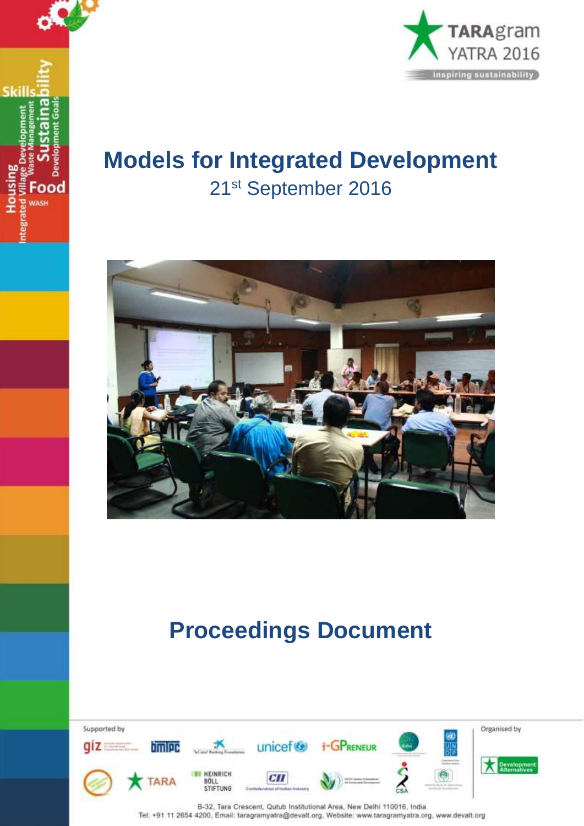



## **Models for Integrated Development**  21st September 2016



# **Proceedings Document**

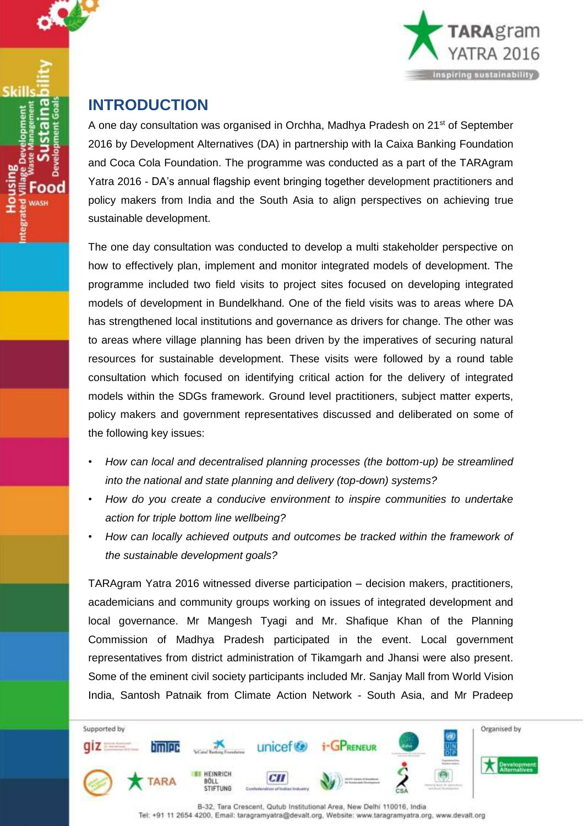



### **INTRODUCTION**

A one day consultation was organised in Orchha, Madhya Pradesh on 21<sup>st</sup> of September 2016 by Development Alternatives (DA) in partnership with la Caixa Banking Foundation and Coca Cola Foundation. The programme was conducted as a part of the TARAgram Yatra 2016 - DA's annual flagship event bringing together development practitioners and policy makers from India and the South Asia to align perspectives on achieving true sustainable development.

The one day consultation was conducted to develop a multi stakeholder perspective on how to effectively plan, implement and monitor integrated models of development. The programme included two field visits to project sites focused on developing integrated models of development in Bundelkhand. One of the field visits was to areas where DA has strengthened local institutions and governance as drivers for change. The other was to areas where village planning has been driven by the imperatives of securing natural resources for sustainable development. These visits were followed by a round table consultation which focused on identifying critical action for the delivery of integrated models within the SDGs framework. Ground level practitioners, subject matter experts, policy makers and government representatives discussed and deliberated on some of the following key issues:

- *How can local and decentralised planning processes (the bottom-up) be streamlined into the national and state planning and delivery (top-down) systems?*
- *• How do you create a conducive environment to inspire communities to undertake action for triple bottom line wellbeing?*
- *• How can locally achieved outputs and outcomes be tracked within the framework of the sustainable development goals?*

TARAgram Yatra 2016 witnessed diverse participation – decision makers, practitioners, academicians and community groups working on issues of integrated development and local governance. Mr Mangesh Tyagi and Mr. Shafique Khan of the Planning Commission of Madhya Pradesh participated in the event. Local government representatives from district administration of Tikamgarh and Jhansi were also present. Some of the eminent civil society participants included Mr. Sanjay Mall from World Vision India, Santosh Patnaik from Climate Action Network - South Asia, and Mr Pradeep

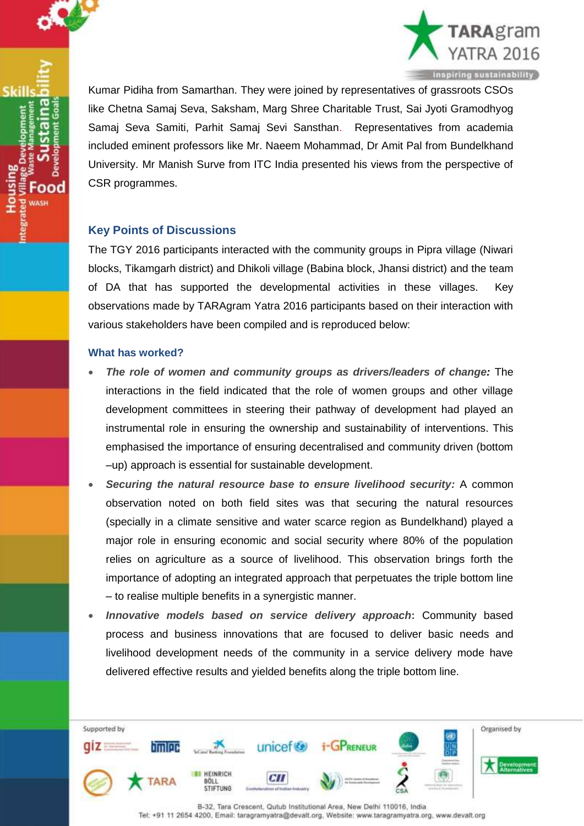

ood



Kumar Pidiha from Samarthan. They were joined by representatives of grassroots CSOs like Chetna Samaj Seva, Saksham, Marg Shree Charitable Trust, Sai Jyoti Gramodhyog Samaj Seva Samiti, Parhit Samaj Sevi Sansthan. Representatives from academia included eminent professors like Mr. Naeem Mohammad, Dr Amit Pal from Bundelkhand University. Mr Manish Surve from ITC India presented his views from the perspective of CSR programmes.

#### **Key Points of Discussions**

The TGY 2016 participants interacted with the community groups in Pipra village (Niwari blocks, Tikamgarh district) and Dhikoli village (Babina block, Jhansi district) and the team of DA that has supported the developmental activities in these villages. Key observations made by TARAgram Yatra 2016 participants based on their interaction with various stakeholders have been compiled and is reproduced below:

#### **What has worked?**

- *The role of women and community groups as drivers/leaders of change:* The interactions in the field indicated that the role of women groups and other village development committees in steering their pathway of development had played an instrumental role in ensuring the ownership and sustainability of interventions. This emphasised the importance of ensuring decentralised and community driven (bottom –up) approach is essential for sustainable development.
- *Securing the natural resource base to ensure livelihood security:* A common observation noted on both field sites was that securing the natural resources (specially in a climate sensitive and water scarce region as Bundelkhand) played a major role in ensuring economic and social security where 80% of the population relies on agriculture as a source of livelihood. This observation brings forth the importance of adopting an integrated approach that perpetuates the triple bottom line – to realise multiple benefits in a synergistic manner.
- *Innovative models based on service delivery approach***:** Community based process and business innovations that are focused to deliver basic needs and livelihood development needs of the community in a service delivery mode have delivered effective results and yielded benefits along the triple bottom line.

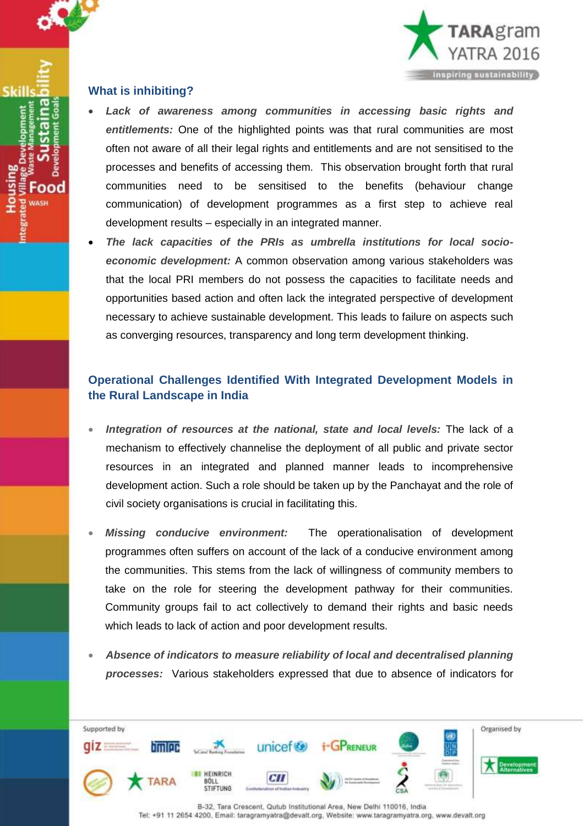

ood

Skill



#### **What is inhibiting?**

- *Lack of awareness among communities in accessing basic rights and entitlements:* One of the highlighted points was that rural communities are most often not aware of all their legal rights and entitlements and are not sensitised to the processes and benefits of accessing them. This observation brought forth that rural communities need to be sensitised to the benefits (behaviour change communication) of development programmes as a first step to achieve real development results – especially in an integrated manner.
- *The lack capacities of the PRIs as umbrella institutions for local socioeconomic development:* A common observation among various stakeholders was that the local PRI members do not possess the capacities to facilitate needs and opportunities based action and often lack the integrated perspective of development necessary to achieve sustainable development. This leads to failure on aspects such as converging resources, transparency and long term development thinking.

#### **Operational Challenges Identified With Integrated Development Models in the Rural Landscape in India**

- *Integration of resources at the national, state and local levels:* The lack of a mechanism to effectively channelise the deployment of all public and private sector resources in an integrated and planned manner leads to incomprehensive development action. Such a role should be taken up by the Panchayat and the role of civil society organisations is crucial in facilitating this.
- *Missing conducive environment:* The operationalisation of development programmes often suffers on account of the lack of a conducive environment among the communities. This stems from the lack of willingness of community members to take on the role for steering the development pathway for their communities. Community groups fail to act collectively to demand their rights and basic needs which leads to lack of action and poor development results.
- *Absence of indicators to measure reliability of local and decentralised planning processes:* Various stakeholders expressed that due to absence of indicators for

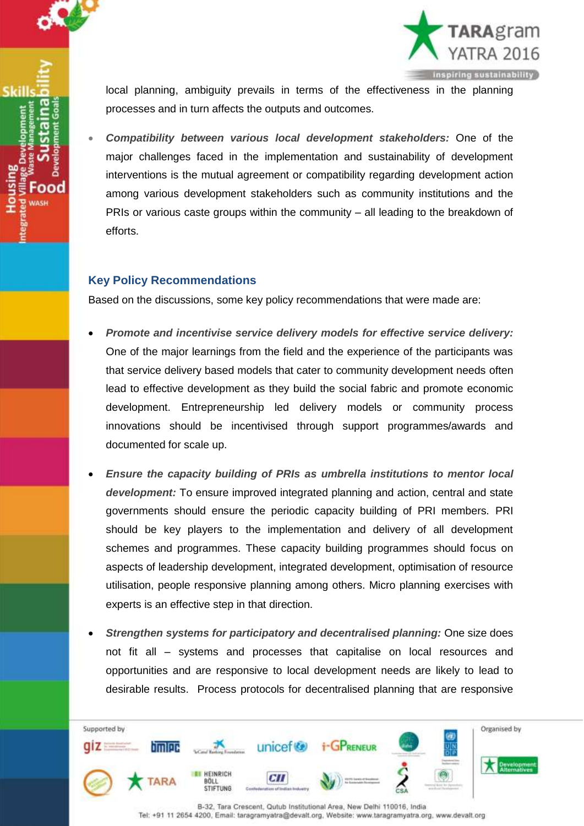



local planning, ambiguity prevails in terms of the effectiveness in the planning processes and in turn affects the outputs and outcomes.

 *Compatibility between various local development stakeholders:* One of the major challenges faced in the implementation and sustainability of development interventions is the mutual agreement or compatibility regarding development action among various development stakeholders such as community institutions and the PRIs or various caste groups within the community – all leading to the breakdown of efforts.

#### **Key Policy Recommendations**

Based on the discussions, some key policy recommendations that were made are:

- *Promote and incentivise service delivery models for effective service delivery:*  One of the major learnings from the field and the experience of the participants was that service delivery based models that cater to community development needs often lead to effective development as they build the social fabric and promote economic development. Entrepreneurship led delivery models or community process innovations should be incentivised through support programmes/awards and documented for scale up.
- *Ensure the capacity building of PRIs as umbrella institutions to mentor local development:* To ensure improved integrated planning and action, central and state governments should ensure the periodic capacity building of PRI members. PRI should be key players to the implementation and delivery of all development schemes and programmes. These capacity building programmes should focus on aspects of leadership development, integrated development, optimisation of resource utilisation, people responsive planning among others. Micro planning exercises with experts is an effective step in that direction.
- *Strengthen systems for participatory and decentralised planning:* One size does not fit all – systems and processes that capitalise on local resources and opportunities and are responsive to local development needs are likely to lead to desirable results. Process protocols for decentralised planning that are responsive

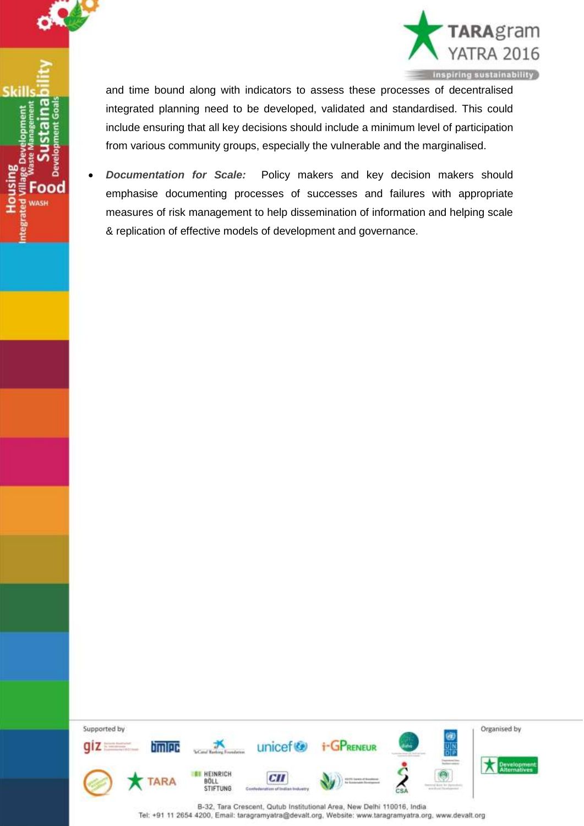

ood

Skill



and time bound along with indicators to assess these processes of decentralised integrated planning need to be developed, validated and standardised. This could include ensuring that all key decisions should include a minimum level of participation from various community groups, especially the vulnerable and the marginalised.

 *Documentation for Scale:* Policy makers and key decision makers should emphasise documenting processes of successes and failures with appropriate measures of risk management to help dissemination of information and helping scale & replication of effective models of development and governance.

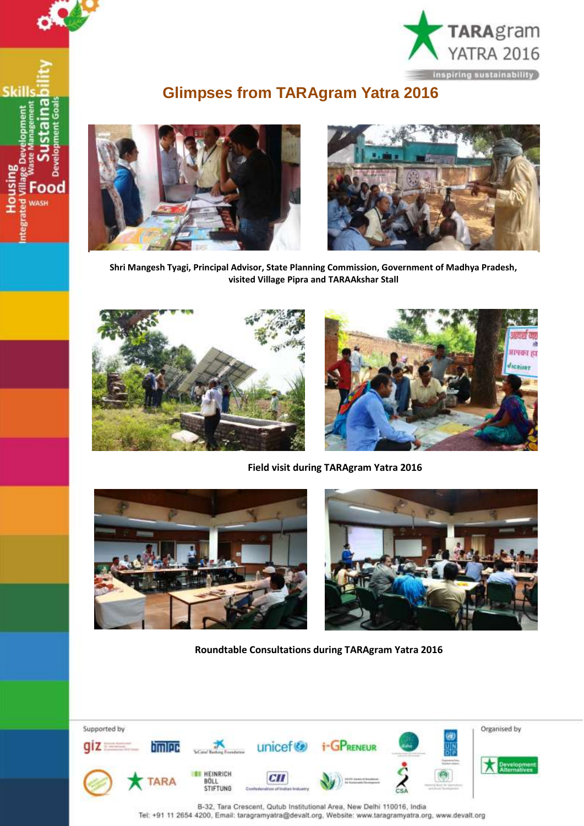

## **Glimpses from TARAgram Yatra 2016**



Skill

ood WASH



**Shri Mangesh Tyagi, Principal Advisor, State Planning Commission, Government of Madhya Pradesh, visited Village Pipra and TARAAkshar Stall**





**Field visit during TARAgram Yatra 2016**





**Roundtable Consultations during TARAgram Yatra 2016**